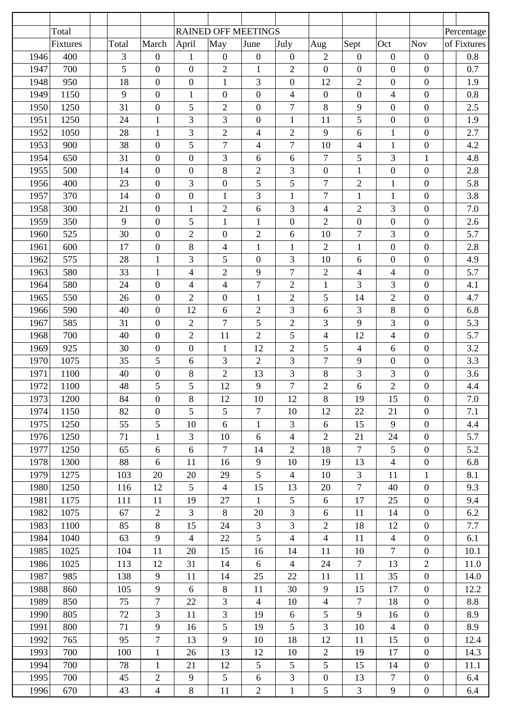|      | Total    |       |                  | <b>RAINED OFF MEETINGS</b> |                          |                          |                  |                  |                          |                          |                  | Percentage  |
|------|----------|-------|------------------|----------------------------|--------------------------|--------------------------|------------------|------------------|--------------------------|--------------------------|------------------|-------------|
|      | Fixtures | Total | March            | April                      | May                      | June                     | July             | Aug              | Sept                     | Oct                      | <b>Nov</b>       | of Fixtures |
| 1946 | 400      | 3     | $\boldsymbol{0}$ | $\mathbf{1}$               | $\boldsymbol{0}$         | $\boldsymbol{0}$         | $\mathbf{0}$     | $\overline{2}$   | $\boldsymbol{0}$         | $\mathbf{0}$             | $\boldsymbol{0}$ | 0.8         |
| 1947 | 700      | 5     | $\overline{0}$   | $\mathbf{0}$               | $\overline{2}$           | 1                        | $\overline{2}$   | $\overline{0}$   | $\boldsymbol{0}$         | $\overline{0}$           | $\boldsymbol{0}$ | 0.7         |
| 1948 | 950      | 18    | $\mathbf{0}$     | $\boldsymbol{0}$           | $\mathbf{1}$             | 3                        | $\boldsymbol{0}$ | 12               | $\mathfrak{2}$           | $\boldsymbol{0}$         | $\boldsymbol{0}$ | 1.9         |
| 1949 | 1150     | 9     | $\boldsymbol{0}$ | $\mathbf{1}$               | $\boldsymbol{0}$         | $\boldsymbol{0}$         | $\overline{4}$   | $\boldsymbol{0}$ | $\boldsymbol{0}$         | $\overline{\mathcal{L}}$ | $\boldsymbol{0}$ | 0.8         |
| 1950 | 1250     | 31    | $\mathbf{0}$     | 5                          | $\overline{2}$           | $\overline{0}$           | $\overline{7}$   | 8                | 9                        | $\mathbf{0}$             | $\boldsymbol{0}$ | 2.5         |
| 1951 | 1250     | 24    | $\mathbf{1}$     | 3                          | $\overline{3}$           | $\boldsymbol{0}$         | $\mathbf{1}$     | 11               | 5                        | $\boldsymbol{0}$         | $\boldsymbol{0}$ | 1.9         |
| 1952 | 1050     | 28    | $\mathbf{1}$     | 3                          | $\overline{2}$           | $\overline{\mathcal{A}}$ | $\overline{2}$   | 9                | 6                        | $\mathbf{1}$             | $\boldsymbol{0}$ | 2.7         |
| 1953 | 900      | 38    | $\mathbf{0}$     | 5                          | $\overline{7}$           | $\overline{\mathcal{A}}$ | $\overline{7}$   | 10               | $\overline{4}$           | $\mathbf{1}$             | $\boldsymbol{0}$ | 4.2         |
| 1954 | 650      | 31    | $\boldsymbol{0}$ | $\boldsymbol{0}$           | $\overline{3}$           | 6                        | 6                | $\overline{7}$   | 5                        | 3                        | $\mathbf{1}$     | 4.8         |
| 1955 | 500      | 14    | $\boldsymbol{0}$ | $\boldsymbol{0}$           | 8                        | $\mathfrak{2}$           | 3                | $\boldsymbol{0}$ | $\mathbf{1}$             | $\boldsymbol{0}$         | $\boldsymbol{0}$ | 2.8         |
| 1956 | 400      | 23    | $\boldsymbol{0}$ | 3                          | $\overline{0}$           | 5                        | 5                | $\tau$           | $\mathfrak{2}$           | $\mathbf{1}$             | $\boldsymbol{0}$ | 5.8         |
| 1957 | 370      | 14    | $\boldsymbol{0}$ | $\boldsymbol{0}$           | $\mathbf{1}$             | 3                        | 1                | $\overline{7}$   | $\mathbf{1}$             | $\mathbf{1}$             | $\boldsymbol{0}$ | 3.8         |
| 1958 | 300      | 21    | $\boldsymbol{0}$ | $\mathbf{1}$               | $\sqrt{2}$               | 6                        | 3                | 4                | $\mathfrak{2}$           | 3                        | $\boldsymbol{0}$ | 7.0         |
| 1959 | 350      | 9     | $\boldsymbol{0}$ | 5                          | $\mathbf{1}$             | $\mathbf{1}$             | $\boldsymbol{0}$ | $\overline{2}$   | $\boldsymbol{0}$         | $\mathbf{0}$             | $\boldsymbol{0}$ | 2.6         |
| 1960 | 525      | 30    | $\boldsymbol{0}$ | $\overline{2}$             | $\overline{0}$           | $\sqrt{2}$               | 6                | 10               | $\tau$                   | 3                        | $\boldsymbol{0}$ | 5.7         |
| 1961 | 600      | 17    | $\boldsymbol{0}$ | 8                          | $\overline{\mathcal{L}}$ | $\mathbf 1$              | $\mathbf{1}$     | $\overline{c}$   | $\mathbf 1$              | $\mathbf{0}$             | $\boldsymbol{0}$ | 2.8         |
| 1962 | 575      | 28    | $\mathbf{1}$     | 3                          | 5                        | $\boldsymbol{0}$         | 3                | 10               | 6                        | $\boldsymbol{0}$         | $\boldsymbol{0}$ | 4.9         |
| 1963 | 580      | 33    | $\mathbf{1}$     | $\overline{\mathcal{L}}$   | $\overline{2}$           | 9                        | $\overline{7}$   | $\overline{2}$   | $\overline{4}$           | 4                        | $\boldsymbol{0}$ | 5.7         |
| 1964 | 580      | 24    | $\boldsymbol{0}$ | 4                          | $\overline{\mathcal{L}}$ | $\tau$                   | $\overline{2}$   | $\mathbf{1}$     | 3                        | 3                        | $\overline{0}$   | 4.1         |
| 1965 | 550      | 26    | $\boldsymbol{0}$ | $\mathbf{2}$               | $\overline{0}$           | $\mathbf{1}$             | $\overline{2}$   | 5                | 14                       | $\overline{c}$           | $\boldsymbol{0}$ | 4.7         |
| 1966 | 590      | 40    | $\boldsymbol{0}$ | 12                         | 6                        | $\overline{2}$           | 3                | 6                | 3                        | 8                        | $\boldsymbol{0}$ | 6.8         |
| 1967 | 585      | 31    | $\boldsymbol{0}$ | $\overline{2}$             | $\overline{7}$           | 5                        | $\overline{2}$   | 3                | 9                        | 3                        | $\boldsymbol{0}$ | 5.3         |
| 1968 | 700      | 40    | $\boldsymbol{0}$ | $\overline{2}$             | 11                       | $\overline{2}$           | 5                | 4                | 12                       | 4                        | $\boldsymbol{0}$ | 5.7         |
| 1969 | 925      | 30    | $\boldsymbol{0}$ | $\boldsymbol{0}$           | $\mathbf{1}$             | 12                       | $\overline{2}$   | 5                | $\overline{\mathcal{L}}$ | 6                        | $\boldsymbol{0}$ | 3.2         |
| 1970 | 1075     | 35    | 5                | 6                          | 3                        | $\overline{2}$           | 3                | $\overline{7}$   | 9                        | $\boldsymbol{0}$         | $\boldsymbol{0}$ | 3.3         |
| 1971 | 1100     | 40    | $\boldsymbol{0}$ | $8\,$                      | $\overline{2}$           | 13                       | 3                | 8                | 3                        | 3                        | $\boldsymbol{0}$ | 3.6         |
| 1972 | 1100     | 48    | 5                | 5                          | 12                       | 9                        | $\tau$           | $\overline{2}$   | 6                        | $\overline{2}$           | $\boldsymbol{0}$ | 4.4         |
| 1973 | 1200     | 84    | $\mathbf{0}$     | $8\,$                      | 12                       | 10                       | 12               | 8                | 19                       | 15                       | $\mathbf{0}$     | 7.0         |
| 1974 | 1150     | 82    | $\overline{0}$   | 5                          | 5                        | $\tau$                   | 10               | 12               | 22                       | 21                       | $\overline{0}$   | 7.1         |
| 1975 | 1250     | 55    | 5                | 10                         | 6                        | $\mathbf{1}$             | $\overline{3}$   | 6                | 15                       | 9                        | $\overline{0}$   | 4.4         |
| 1976 | 1250     | 71    | $\mathbf{1}$     | 3                          | 10                       | 6                        | $\overline{4}$   | $\overline{2}$   | 21                       | 24                       | $\overline{0}$   | 5.7         |
| 1977 | 1250     | 65    | 6                | 6                          | $\overline{7}$           | 14                       | 2                | 18               | $\overline{7}$           | 5                        | $\overline{0}$   | 5.2         |
| 1978 | 1300     | 88    | 6                | 11                         | 16                       | 9                        | 10               | 19               | 13                       | $\overline{4}$           | $\overline{0}$   | 6.8         |
| 1979 | 1275     | 103   | 20               | 20                         | 29                       | 5                        | $\overline{4}$   | 10               | 3                        | 11                       | $\mathbf{1}$     | 8.1         |
| 1980 | 1250     | 116   | 12               | 5                          | $\overline{4}$           | 15                       | 13               | 20               | $\tau$                   | 40                       | $\overline{0}$   | 9.3         |
| 1981 | 1175     | 111   | 11               | 19                         | 27                       | $\mathbf{1}$             | 5                | 6                | 17                       | 25                       | $\overline{0}$   | 9.4         |
| 1982 | 1075     | 67    | $\overline{2}$   | 3                          | 8                        | 20                       | 3                | 6                | 11                       | 14                       | $\overline{0}$   | 6.2         |
| 1983 | 1100     | 85    | 8                | 15                         | 24                       | $\mathfrak{Z}$           | 3                | $\overline{2}$   | 18                       | 12                       | $\overline{0}$   | 7.7         |
| 1984 | 1040     | 63    | 9                | $\overline{4}$             | 22                       | 5                        | $\overline{4}$   | $\overline{4}$   | 11                       | $\overline{4}$           | $\overline{0}$   | 6.1         |
| 1985 | 1025     | 104   | 11               | 20                         | 15                       | 16                       | 14               | 11               | 10                       | $\tau$                   | $\overline{0}$   | 10.1        |
| 1986 | 1025     | 113   | 12               | 31                         | 14                       | 6                        | $\overline{4}$   | 24               | $\tau$                   | 13                       | $\overline{2}$   | 11.0        |
| 1987 | 985      | 138   | 9                | 11                         | 14                       | 25                       | 22               | 11               | 11                       | 35                       | $\overline{0}$   | 14.0        |
| 1988 | 860      | 105   | 9                | 6                          | $\,8\,$                  | 11                       | 30               | 9                | 15                       | 17                       | $\overline{0}$   | 12.2        |
| 1989 | 850      | 75    | $\tau$           | 22                         | $\mathfrak{Z}$           | $\overline{4}$           | 10               | $\overline{4}$   | $\tau$                   | 18                       | $\overline{0}$   | 8.8         |
| 1990 | 805      | 72    | $\overline{3}$   | 11                         | 3                        | 19                       | $6\,$            | 5                | 9                        | 16                       | $\overline{0}$   | 8.9         |
| 1991 | 800      | 71    | 9                | 16                         | 5                        | 19                       | 5                | 3                | 10                       | $\overline{4}$           | $\overline{0}$   | 8.9         |
| 1992 | 765      | 95    | $\overline{7}$   | 13                         | 9                        | 10                       | 18               | 12               | 11                       | 15                       | $\overline{0}$   | 12.4        |
| 1993 | 700      | 100   | $\mathbf{1}$     | 26                         | 13                       | 12                       | 10               | $\overline{2}$   | 19                       | 17                       | $\overline{0}$   | 14.3        |
| 1994 | 700      | 78    | $\mathbf{1}$     | 21                         | 12                       | 5                        | 5                | 5                | 15                       | 14                       | $\overline{0}$   | 11.1        |
| 1995 | 700      | 45    | $\overline{2}$   | 9                          | 5 <sup>5</sup>           | 6                        | $\mathfrak{Z}$   | $\mathbf{0}$     | 13                       | $\tau$                   | $\overline{0}$   | 6.4         |
| 1996 | 670      | 43    | $\overline{4}$   | $8\,$                      | 11                       | $\overline{2}$           | $\mathbf{1}$     | 5                | $\mathfrak{Z}$           | 9                        | $\overline{0}$   | 6.4         |